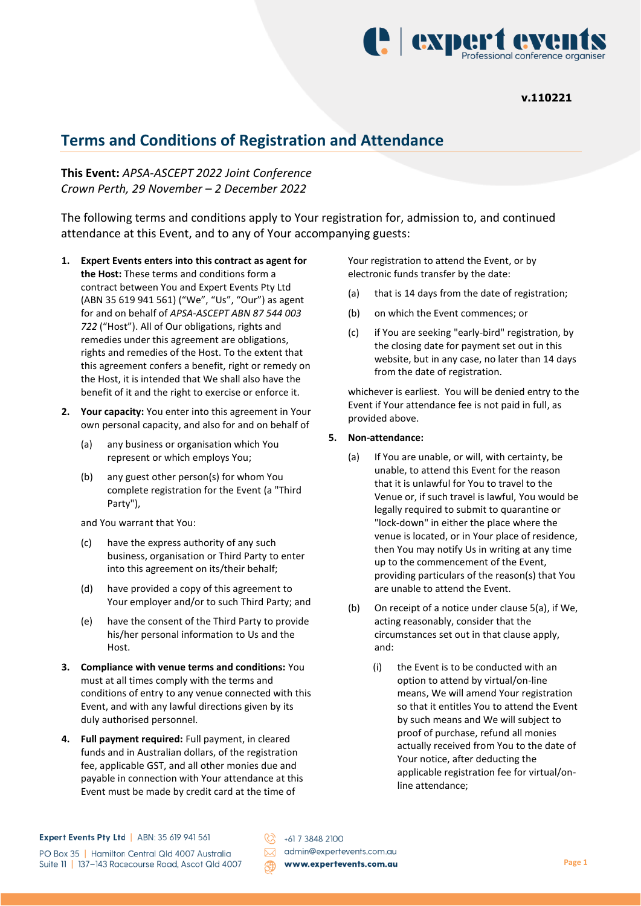

# **Terms and Conditions of Registration and Attendance**

**This Event:** *APSA-ASCEPT 2022 Joint Conference Crown Perth, 29 November – 2 December 2022*

The following terms and conditions apply to Your registration for, admission to, and continued attendance at this Event, and to any of Your accompanying guests:

- **1. Expert Events enters into this contract as agent for the Host:** These terms and conditions form a contract between You and Expert Events Pty Ltd (ABN 35 619 941 561) ("We", "Us", "Our") as agent for and on behalf of *APSA-ASCEPT ABN 87 544 003 722* ("Host"). All of Our obligations, rights and remedies under this agreement are obligations, rights and remedies of the Host. To the extent that this agreement confers a benefit, right or remedy on the Host, it is intended that We shall also have the benefit of it and the right to exercise or enforce it.
- **2. Your capacity:** You enter into this agreement in Your own personal capacity, and also for and on behalf of
	- (a) any business or organisation which You represent or which employs You;
	- (b) any guest other person(s) for whom You complete registration for the Event (a "Third Party"),

and You warrant that You:

- (c) have the express authority of any such business, organisation or Third Party to enter into this agreement on its/their behalf;
- (d) have provided a copy of this agreement to Your employer and/or to such Third Party; and
- (e) have the consent of the Third Party to provide his/her personal information to Us and the Host.
- **3. Compliance with venue terms and conditions:** You must at all times comply with the terms and conditions of entry to any venue connected with this Event, and with any lawful directions given by its duly authorised personnel.
- **4. Full payment required:** Full payment, in cleared funds and in Australian dollars, of the registration fee, applicable GST, and all other monies due and payable in connection with Your attendance at this Event must be made by credit card at the time of

Your registration to attend the Event, or by electronic funds transfer by the date:

- (a) that is 14 days from the date of registration;
- (b) on which the Event commences; or
- (c) if You are seeking "early-bird" registration, by the closing date for payment set out in this website, but in any case, no later than 14 days from the date of registration.

whichever is earliest. You will be denied entry to the Event if Your attendance fee is not paid in full, as provided above.

### **5. Non-attendance:**

- (a) If You are unable, or will, with certainty, be unable, to attend this Event for the reason that it is unlawful for You to travel to the Venue or, if such travel is lawful, You would be legally required to submit to quarantine or "lock-down" in either the place where the venue is located, or in Your place of residence, then You may notify Us in writing at any time up to the commencement of the Event, providing particulars of the reason(s) that You are unable to attend the Event.
- (b) On receipt of a notice under clause 5(a), if We, acting reasonably, consider that the circumstances set out in that clause apply, and:
	- (i) the Event is to be conducted with an option to attend by virtual/on-line means, We will amend Your registration so that it entitles You to attend the Event by such means and We will subject to proof of purchase, refund all monies actually received from You to the date of Your notice, after deducting the applicable registration fee for virtual/online attendance;

 $\oslash$  +61 7 3848 2100 admin@expertevents.com.au www.expertevents.com.au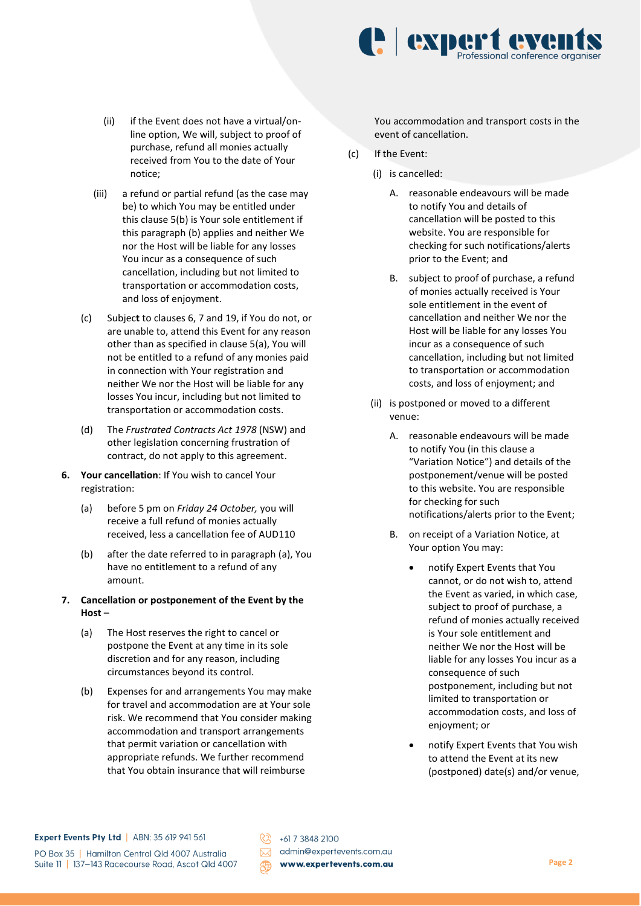

- (ii) if the Event does not have a virtual/online option, We will, subject to proof of purchase, refund all monies actually received from You to the date of Your notice;
- (iii) a refund or partial refund (as the case may be) to which You may be entitled under this clause 5(b) is Your sole entitlement if this paragraph (b) applies and neither We nor the Host will be liable for any losses You incur as a consequence of such cancellation, including but not limited to transportation or accommodation costs, and loss of enjoyment.
- (c) Subjec**t** to clauses 6, 7 and 19, if You do not, or are unable to, attend this Event for any reason other than as specified in clause 5(a), You will not be entitled to a refund of any monies paid in connection with Your registration and neither We nor the Host will be liable for any losses You incur, including but not limited to transportation or accommodation costs.
- (d) The *Frustrated Contracts Act 1978* (NSW) and other legislation concerning frustration of contract, do not apply to this agreement.
- **6. Your cancellation**: If You wish to cancel Your registration:
	- (a) before 5 pm on *Friday 24 October,* you will receive a full refund of monies actually received, less a cancellation fee of AUD110
	- (b) after the date referred to in paragraph (a), You have no entitlement to a refund of any amount.
- **7. Cancellation or postponement of the Event by the Host** –
	- (a) The Host reserves the right to cancel or postpone the Event at any time in its sole discretion and for any reason, including circumstances beyond its control.
	- (b) Expenses for and arrangements You may make for travel and accommodation are at Your sole risk. We recommend that You consider making accommodation and transport arrangements that permit variation or cancellation with appropriate refunds. We further recommend that You obtain insurance that will reimburse

You accommodation and transport costs in the event of cancellation.

- (c) If the Event:
	- (i) is cancelled:
		- A. reasonable endeavours will be made to notify You and details of cancellation will be posted to this website. You are responsible for checking for such notifications/alerts prior to the Event; and
		- B. subject to proof of purchase, a refund of monies actually received is Your sole entitlement in the event of cancellation and neither We nor the Host will be liable for any losses You incur as a consequence of such cancellation, including but not limited to transportation or accommodation costs, and loss of enjoyment; and
	- (ii) is postponed or moved to a different venue:
		- A. reasonable endeavours will be made to notify You (in this clause a "Variation Notice") and details of the postponement/venue will be posted to this website. You are responsible for checking for such notifications/alerts prior to the Event;
		- B. on receipt of a Variation Notice, at Your option You may:
			- notify Expert Events that You cannot, or do not wish to, attend the Event as varied, in which case, subject to proof of purchase, a refund of monies actually received is Your sole entitlement and neither We nor the Host will be liable for any losses You incur as a consequence of such postponement, including but not limited to transportation or accommodation costs, and loss of enjoyment; or
			- notify Expert Events that You wish to attend the Event at its new (postponed) date(s) and/or venue,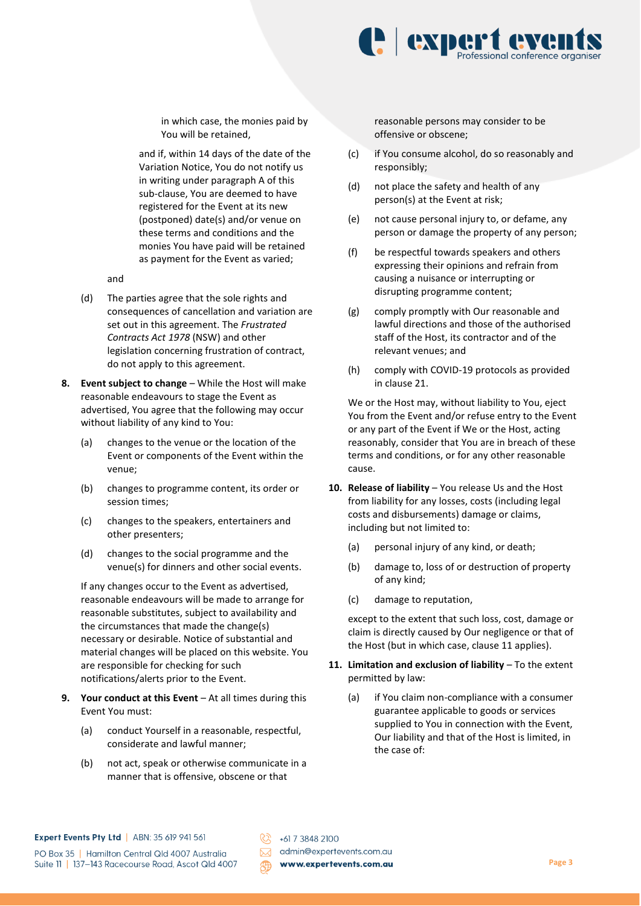

in which case, the monies paid by You will be retained,

and if, within 14 days of the date of the Variation Notice, You do not notify us in writing under paragraph A of this sub-clause, You are deemed to have registered for the Event at its new (postponed) date(s) and/or venue on these terms and conditions and the monies You have paid will be retained as payment for the Event as varied;

and

- (d) The parties agree that the sole rights and consequences of cancellation and variation are set out in this agreement. The *Frustrated Contracts Act 1978* (NSW) and other legislation concerning frustration of contract, do not apply to this agreement.
- **8. Event subject to change** While the Host will make reasonable endeavours to stage the Event as advertised, You agree that the following may occur without liability of any kind to You:
	- (a) changes to the venue or the location of the Event or components of the Event within the venue;
	- (b) changes to programme content, its order or session times;
	- (c) changes to the speakers, entertainers and other presenters;
	- (d) changes to the social programme and the venue(s) for dinners and other social events.

If any changes occur to the Event as advertised, reasonable endeavours will be made to arrange for reasonable substitutes, subject to availability and the circumstances that made the change(s) necessary or desirable. Notice of substantial and material changes will be placed on this website. You are responsible for checking for such notifications/alerts prior to the Event.

- **9. Your conduct at this Event** At all times during this Event You must:
	- (a) conduct Yourself in a reasonable, respectful, considerate and lawful manner;
	- (b) not act, speak or otherwise communicate in a manner that is offensive, obscene or that

reasonable persons may consider to be offensive or obscene;

- (c) if You consume alcohol, do so reasonably and responsibly;
- (d) not place the safety and health of any person(s) at the Event at risk;
- (e) not cause personal injury to, or defame, any person or damage the property of any person;
- (f) be respectful towards speakers and others expressing their opinions and refrain from causing a nuisance or interrupting or disrupting programme content;
- (g) comply promptly with Our reasonable and lawful directions and those of the authorised staff of the Host, its contractor and of the relevant venues; and
- (h) comply with COVID-19 protocols as provided in clause 21.

We or the Host may, without liability to You, eject You from the Event and/or refuse entry to the Event or any part of the Event if We or the Host, acting reasonably, consider that You are in breach of these terms and conditions, or for any other reasonable cause.

- **10. Release of liability** You release Us and the Host from liability for any losses, costs (including legal costs and disbursements) damage or claims, including but not limited to:
	- (a) personal injury of any kind, or death;
	- (b) damage to, loss of or destruction of property of any kind;
	- (c) damage to reputation,

except to the extent that such loss, cost, damage or claim is directly caused by Our negligence or that of the Host (but in which case, clause 11 applies).

- **11. Limitation and exclusion of liability** To the extent permitted by law:
	- (a) if You claim non-compliance with a consumer guarantee applicable to goods or services supplied to You in connection with the Event, Our liability and that of the Host is limited, in the case of: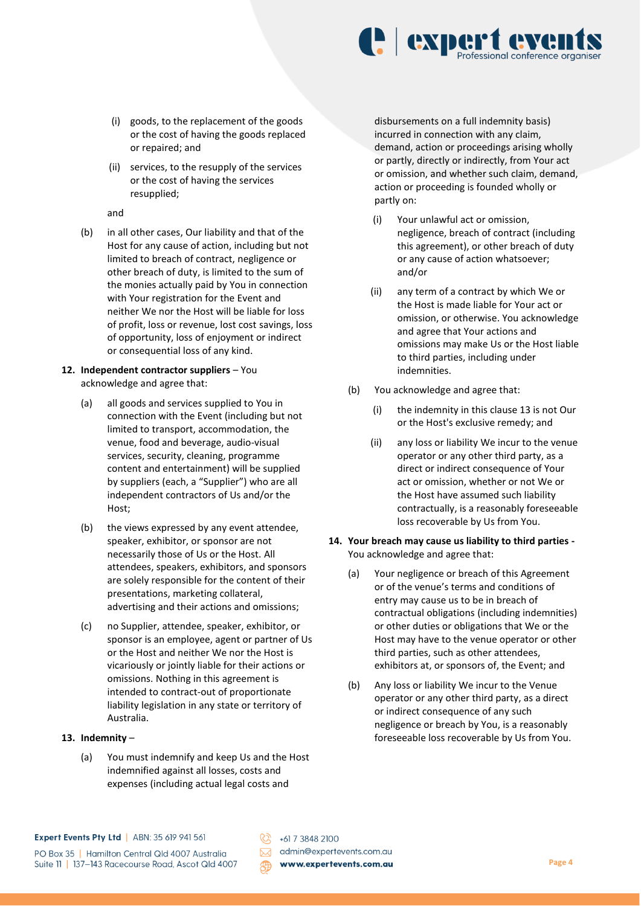

- (i) goods, to the replacement of the goods or the cost of having the goods replaced or repaired; and
- (ii) services, to the resupply of the services or the cost of having the services resupplied;

and

(b) in all other cases, Our liability and that of the Host for any cause of action, including but not limited to breach of contract, negligence or other breach of duty, is limited to the sum of the monies actually paid by You in connection with Your registration for the Event and neither We nor the Host will be liable for loss of profit, loss or revenue, lost cost savings, loss of opportunity, loss of enjoyment or indirect or consequential loss of any kind.

## **12. Independent contractor suppliers** – You acknowledge and agree that:

- (a) all goods and services supplied to You in connection with the Event (including but not limited to transport, accommodation, the venue, food and beverage, audio-visual services, security, cleaning, programme content and entertainment) will be supplied by suppliers (each, a "Supplier") who are all independent contractors of Us and/or the Host;
- (b) the views expressed by any event attendee, speaker, exhibitor, or sponsor are not necessarily those of Us or the Host. All attendees, speakers, exhibitors, and sponsors are solely responsible for the content of their presentations, marketing collateral, advertising and their actions and omissions;
- (c) no Supplier, attendee, speaker, exhibitor, or sponsor is an employee, agent or partner of Us or the Host and neither We nor the Host is vicariously or jointly liable for their actions or omissions. Nothing in this agreement is intended to contract-out of proportionate liability legislation in any state or territory of Australia.
- **13. Indemnity**
	- (a) You must indemnify and keep Us and the Host indemnified against all losses, costs and expenses (including actual legal costs and

disbursements on a full indemnity basis) incurred in connection with any claim, demand, action or proceedings arising wholly or partly, directly or indirectly, from Your act or omission, and whether such claim, demand, action or proceeding is founded wholly or partly on:

- (i) Your unlawful act or omission, negligence, breach of contract (including this agreement), or other breach of duty or any cause of action whatsoever; and/or
- (ii) any term of a contract by which We or the Host is made liable for Your act or omission, or otherwise. You acknowledge and agree that Your actions and omissions may make Us or the Host liable to third parties, including under indemnities.
- (b) You acknowledge and agree that:
	- (i) the indemnity in this clause 13 is not Our or the Host's exclusive remedy; and
	- (ii) any loss or liability We incur to the venue operator or any other third party, as a direct or indirect consequence of Your act or omission, whether or not We or the Host have assumed such liability contractually, is a reasonably foreseeable loss recoverable by Us from You.
- **14. Your breach may cause us liability to third parties -** You acknowledge and agree that:
	- (a) Your negligence or breach of this Agreement or of the venue's terms and conditions of entry may cause us to be in breach of contractual obligations (including indemnities) or other duties or obligations that We or the Host may have to the venue operator or other third parties, such as other attendees, exhibitors at, or sponsors of, the Event; and
	- (b) Any loss or liability We incur to the Venue operator or any other third party, as a direct or indirect consequence of any such negligence or breach by You, is a reasonably foreseeable loss recoverable by Us from You.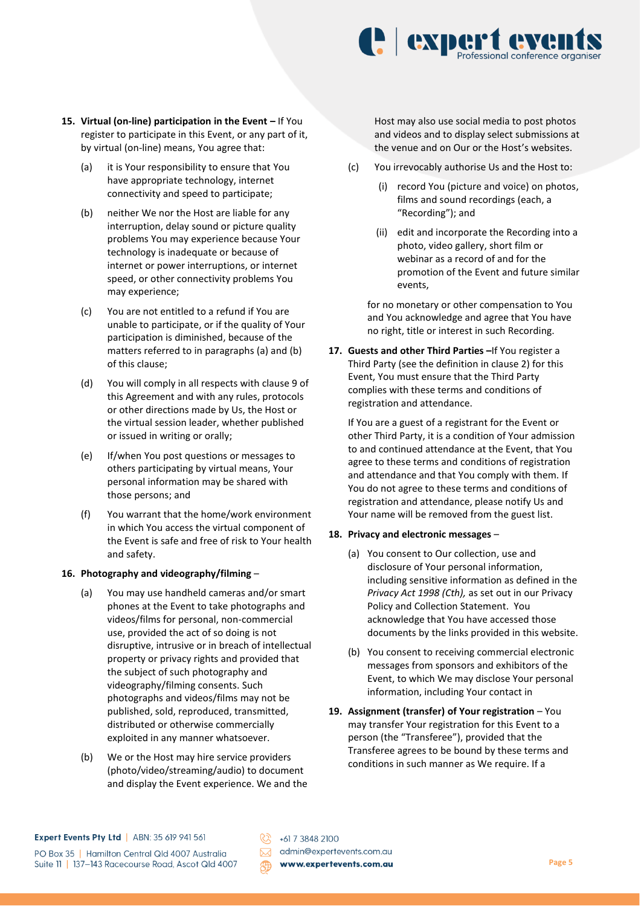

- **15.** Virtual (on-line) participation in the Event If You register to participate in this Event, or any part of it, by virtual (on-line) means, You agree that:
	- (a) it is Your responsibility to ensure that You have appropriate technology, internet connectivity and speed to participate;
	- (b) neither We nor the Host are liable for any interruption, delay sound or picture quality problems You may experience because Your technology is inadequate or because of internet or power interruptions, or internet speed, or other connectivity problems You may experience;
	- (c) You are not entitled to a refund if You are unable to participate, or if the quality of Your participation is diminished, because of the matters referred to in paragraphs (a) and (b) of this clause;
	- (d) You will comply in all respects with clause 9 of this Agreement and with any rules, protocols or other directions made by Us, the Host or the virtual session leader, whether published or issued in writing or orally;
	- (e) If/when You post questions or messages to others participating by virtual means, Your personal information may be shared with those persons; and
	- (f) You warrant that the home/work environment in which You access the virtual component of the Event is safe and free of risk to Your health and safety.

#### **16. Photography and videography/filming** –

- (a) You may use handheld cameras and/or smart phones at the Event to take photographs and videos/films for personal, non-commercial use, provided the act of so doing is not disruptive, intrusive or in breach of intellectual property or privacy rights and provided that the subject of such photography and videography/filming consents. Such photographs and videos/films may not be published, sold, reproduced, transmitted, distributed or otherwise commercially exploited in any manner whatsoever.
- (b) We or the Host may hire service providers (photo/video/streaming/audio) to document and display the Event experience. We and the

Host may also use social media to post photos and videos and to display select submissions at the venue and on Our or the Host's websites.

- (c) You irrevocably authorise Us and the Host to:
	- (i) record You (picture and voice) on photos, films and sound recordings (each, a "Recording"); and
	- (ii) edit and incorporate the Recording into a photo, video gallery, short film or webinar as a record of and for the promotion of the Event and future similar events,

for no monetary or other compensation to You and You acknowledge and agree that You have no right, title or interest in such Recording.

**17. Guests and other Third Parties –**If You register a Third Party (see the definition in clause 2) for this Event, You must ensure that the Third Party complies with these terms and conditions of registration and attendance.

If You are a guest of a registrant for the Event or other Third Party, it is a condition of Your admission to and continued attendance at the Event, that You agree to these terms and conditions of registration and attendance and that You comply with them. If You do not agree to these terms and conditions of registration and attendance, please notify Us and Your name will be removed from the guest list.

## **18. Privacy and electronic messages** –

- (a) You consent to Our collection, use and disclosure of Your personal information, including sensitive information as defined in the *Privacy Act 1998 (Cth),* as set out in our Privacy Policy and Collection Statement. You acknowledge that You have accessed those documents by the links provided in this website.
- (b) You consent to receiving commercial electronic messages from sponsors and exhibitors of the Event, to which We may disclose Your personal information, including Your contact in
- **19. Assignment (transfer) of Your registration** You may transfer Your registration for this Event to a person (the "Transferee"), provided that the Transferee agrees to be bound by these terms and conditions in such manner as We require. If a